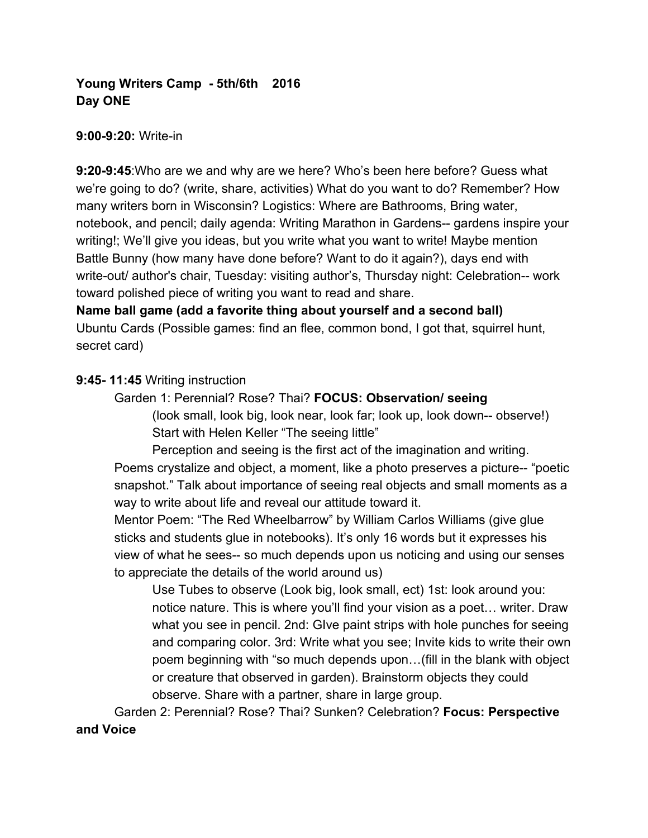# **Young Writers Camp - 5th/6th 2016 Day ONE**

#### **9:00-9:20:** Write-in

**9:20-9:45**:Who are we and why are we here? Who's been here before? Guess what we're going to do? (write, share, activities) What do you want to do? Remember? How many writers born in Wisconsin? Logistics: Where are Bathrooms, Bring water, notebook, and pencil; daily agenda: Writing Marathon in Gardens-- gardens inspire your writing!; We'll give you ideas, but you write what you want to write! Maybe mention Battle Bunny (how many have done before? Want to do it again?), days end with write-out/ author's chair, Tuesday: visiting author's, Thursday night: Celebration-- work toward polished piece of writing you want to read and share.

**Name ball game (add a favorite thing about yourself and a second ball)** Ubuntu Cards (Possible games: find an flee, common bond, I got that, squirrel hunt, secret card)

### **9:45- 11:45** Writing instruction

Garden 1: Perennial? Rose? Thai? **FOCUS: Observation/ seeing** (look small, look big, look near, look far; look up, look down-- observe!)

Start with Helen Keller "The seeing little"

Perception and seeing is the first act of the imagination and writing.

Poems crystalize and object, a moment, like a photo preserves a picture-- "poetic snapshot." Talk about importance of seeing real objects and small moments as a way to write about life and reveal our attitude toward it.

Mentor Poem: "The Red Wheelbarrow" by William Carlos Williams (give glue sticks and students glue in notebooks). It's only 16 words but it expresses his view of what he sees-- so much depends upon us noticing and using our senses to appreciate the details of the world around us)

Use Tubes to observe (Look big, look small, ect) 1st: look around you: notice nature. This is where you'll find your vision as a poet… writer. Draw what you see in pencil. 2nd: GIve paint strips with hole punches for seeing and comparing color. 3rd: Write what you see; Invite kids to write their own poem beginning with "so much depends upon…(fill in the blank with object or creature that observed in garden). Brainstorm objects they could observe. Share with a partner, share in large group.

Garden 2: Perennial? Rose? Thai? Sunken? Celebration? **Focus: Perspective and Voice**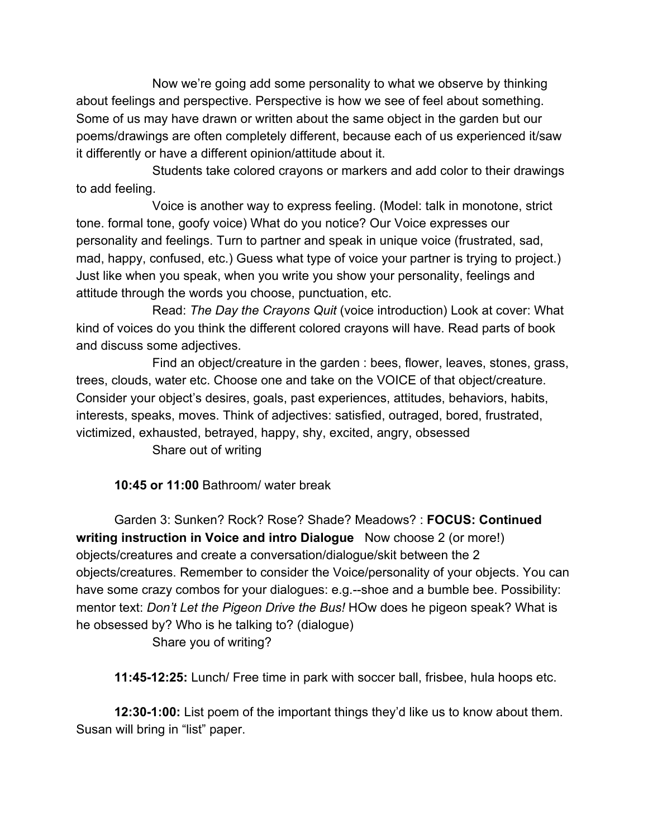Now we're going add some personality to what we observe by thinking about feelings and perspective. Perspective is how we see of feel about something. Some of us may have drawn or written about the same object in the garden but our poems/drawings are often completely different, because each of us experienced it/saw it differently or have a different opinion/attitude about it.

Students take colored crayons or markers and add color to their drawings to add feeling.

Voice is another way to express feeling. (Model: talk in monotone, strict tone. formal tone, goofy voice) What do you notice? Our Voice expresses our personality and feelings. Turn to partner and speak in unique voice (frustrated, sad, mad, happy, confused, etc.) Guess what type of voice your partner is trying to project.) Just like when you speak, when you write you show your personality, feelings and attitude through the words you choose, punctuation, etc.

Read: *The Day the Crayons Quit* (voice introduction) Look at cover: What kind of voices do you think the different colored crayons will have. Read parts of book and discuss some adjectives.

Find an object/creature in the garden : bees, flower, leaves, stones, grass, trees, clouds, water etc. Choose one and take on the VOICE of that object/creature. Consider your object's desires, goals, past experiences, attitudes, behaviors, habits, interests, speaks, moves. Think of adjectives: satisfied, outraged, bored, frustrated, victimized, exhausted, betrayed, happy, shy, excited, angry, obsessed

Share out of writing

**10:45 or 11:00** Bathroom/ water break

Garden 3: Sunken? Rock? Rose? Shade? Meadows? : **FOCUS: Continued writing instruction in Voice and intro Dialogue** Now choose 2 (or more!) objects/creatures and create a conversation/dialogue/skit between the 2 objects/creatures. Remember to consider the Voice/personality of your objects. You can have some crazy combos for your dialogues: e.g.--shoe and a bumble bee. Possibility: mentor text: *Don't Let the Pigeon Drive the Bus!* HOw does he pigeon speak? What is he obsessed by? Who is he talking to? (dialogue) Share you of writing?

**11:45-12:25:** Lunch/ Free time in park with soccer ball, frisbee, hula hoops etc.

**12:30-1:00:** List poem of the important things they'd like us to know about them. Susan will bring in "list" paper.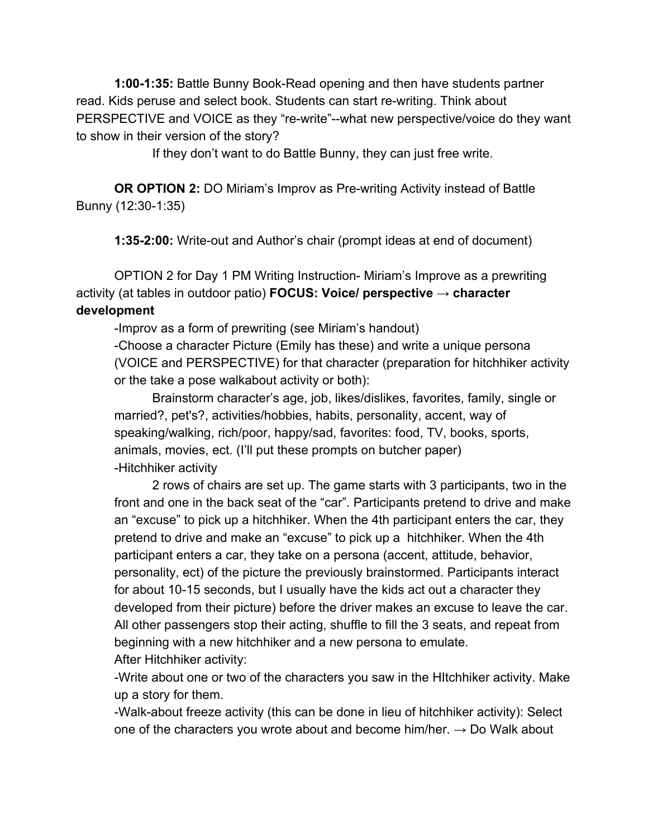**1:00-1:35:** Battle Bunny Book-Read opening and then have students partner read. Kids peruse and select book. Students can start re-writing. Think about PERSPECTIVE and VOICE as they "re-write"--what new perspective/voice do they want to show in their version of the story?

If they don't want to do Battle Bunny, they can just free write.

**OR OPTION 2:** DO Miriam's Improv as Pre-writing Activity instead of Battle Bunny (12:30-1:35)

**1:35-2:00:** Write-out and Author's chair (prompt ideas at end of document)

OPTION 2 for Day 1 PM Writing Instruction- Miriam's Improve as a prewriting activity (at tables in outdoor patio) **FOCUS: Voice/ perspective → character development**

-Improv as a form of prewriting (see Miriam's handout)

-Choose a character Picture (Emily has these) and write a unique persona (VOICE and PERSPECTIVE) for that character (preparation for hitchhiker activity or the take a pose walkabout activity or both):

Brainstorm character's age, job, likes/dislikes, favorites, family, single or married?, pet's?, activities/hobbies, habits, personality, accent, way of speaking/walking, rich/poor, happy/sad, favorites: food, TV, books, sports, animals, movies, ect. (I'll put these prompts on butcher paper) -Hitchhiker activity

2 rows of chairs are set up. The game starts with 3 participants, two in the front and one in the back seat of the "car". Participants pretend to drive and make an "excuse" to pick up a hitchhiker. When the 4th participant enters the car, they pretend to drive and make an "excuse" to pick up a hitchhiker. When the 4th participant enters a car, they take on a persona (accent, attitude, behavior, personality, ect) of the picture the previously brainstormed. Participants interact for about 10-15 seconds, but I usually have the kids act out a character they developed from their picture) before the driver makes an excuse to leave the car. All other passengers stop their acting, shuffle to fill the 3 seats, and repeat from beginning with a new hitchhiker and a new persona to emulate. After Hitchhiker activity:

-Write about one or two of the characters you saw in the HItchhiker activity. Make up a story for them.

-Walk-about freeze activity (this can be done in lieu of hitchhiker activity): Select one of the characters you wrote about and become him/her.  $\rightarrow$  Do Walk about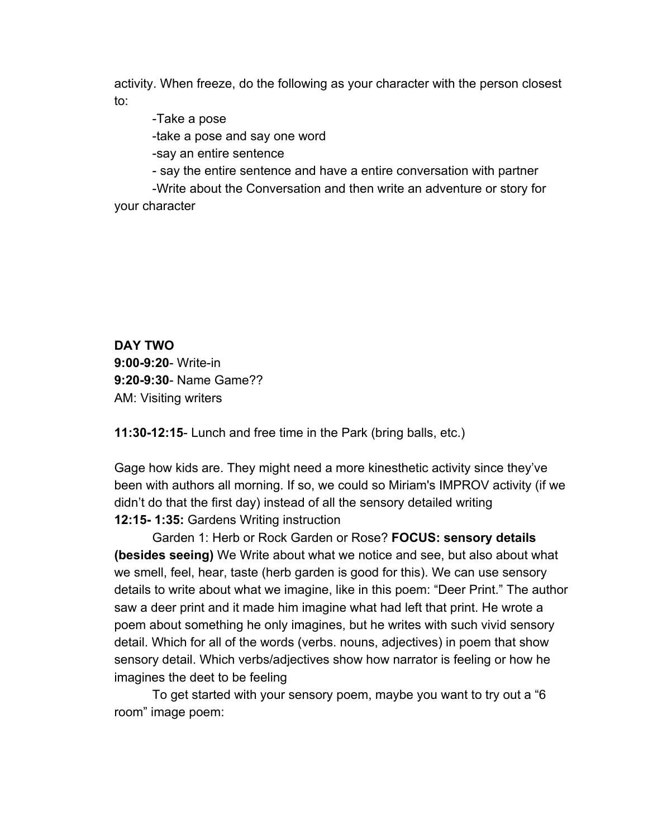activity. When freeze, do the following as your character with the person closest to:

-Take a pose

-take a pose and say one word

-say an entire sentence

- say the entire sentence and have a entire conversation with partner

-Write about the Conversation and then write an adventure or story for your character

**DAY TWO 9:00-9:20**- Write-in **9:20-9:30**- Name Game?? AM: Visiting writers

**11:30-12:15**- Lunch and free time in the Park (bring balls, etc.)

Gage how kids are. They might need a more kinesthetic activity since they've been with authors all morning. If so, we could so Miriam's IMPROV activity (if we didn't do that the first day) instead of all the sensory detailed writing **12:15- 1:35:** Gardens Writing instruction

Garden 1: Herb or Rock Garden or Rose? **FOCUS: sensory details (besides seeing)** We Write about what we notice and see, but also about what we smell, feel, hear, taste (herb garden is good for this). We can use sensory details to write about what we imagine, like in this poem: "Deer Print." The author saw a deer print and it made him imagine what had left that print. He wrote a poem about something he only imagines, but he writes with such vivid sensory detail. Which for all of the words (verbs. nouns, adjectives) in poem that show sensory detail. Which verbs/adjectives show how narrator is feeling or how he imagines the deet to be feeling

To get started with your sensory poem, maybe you want to try out a "6 room" image poem: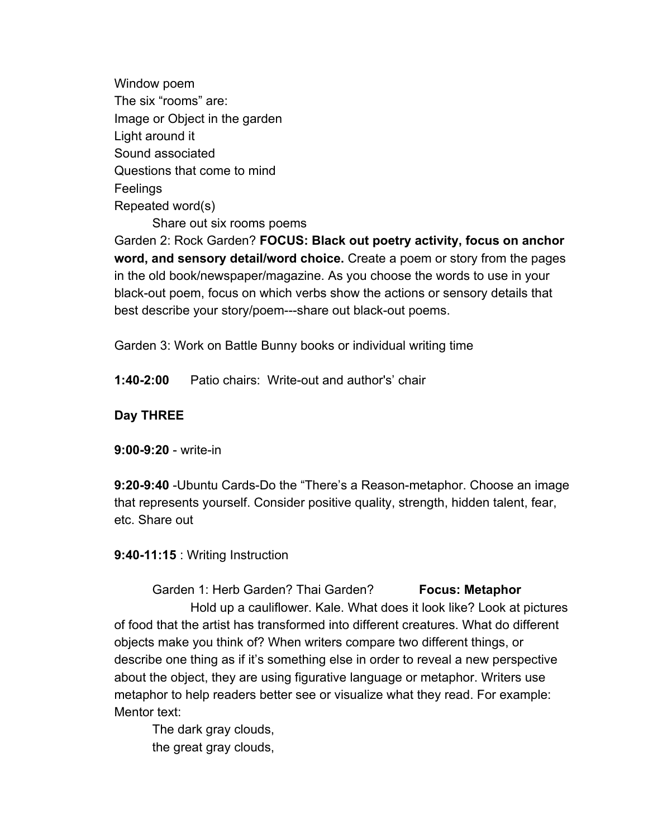Window poem The six "rooms" are: Image or Object in the garden Light around it Sound associated Questions that come to mind Feelings Repeated word(s)

Share out six rooms poems

Garden 2: Rock Garden? **FOCUS: Black out poetry activity, focus on anchor word, and sensory detail/word choice.** Create a poem or story from the pages in the old book/newspaper/magazine. As you choose the words to use in your black-out poem, focus on which verbs show the actions or sensory details that best describe your story/poem---share out black-out poems.

Garden 3: Work on Battle Bunny books or individual writing time

**1:40-2:00** Patio chairs: Write-out and author's' chair

#### **Day THREE**

**9:00-9:20** - write-in

**9:20-9:40** -Ubuntu Cards-Do the "There's a Reason-metaphor. Choose an image that represents yourself. Consider positive quality, strength, hidden talent, fear, etc. Share out

**9:40-11:15** : Writing Instruction

Garden 1: Herb Garden? Thai Garden? **Focus: Metaphor** Hold up a cauliflower. Kale. What does it look like? Look at pictures of food that the artist has transformed into different creatures. What do different objects make you think of? When writers compare two different things, or describe one thing as if it's something else in order to reveal a new perspective about the object, they are using figurative language or metaphor. Writers use metaphor to help readers better see or visualize what they read. For example: Mentor text:

The dark gray clouds, the great gray clouds,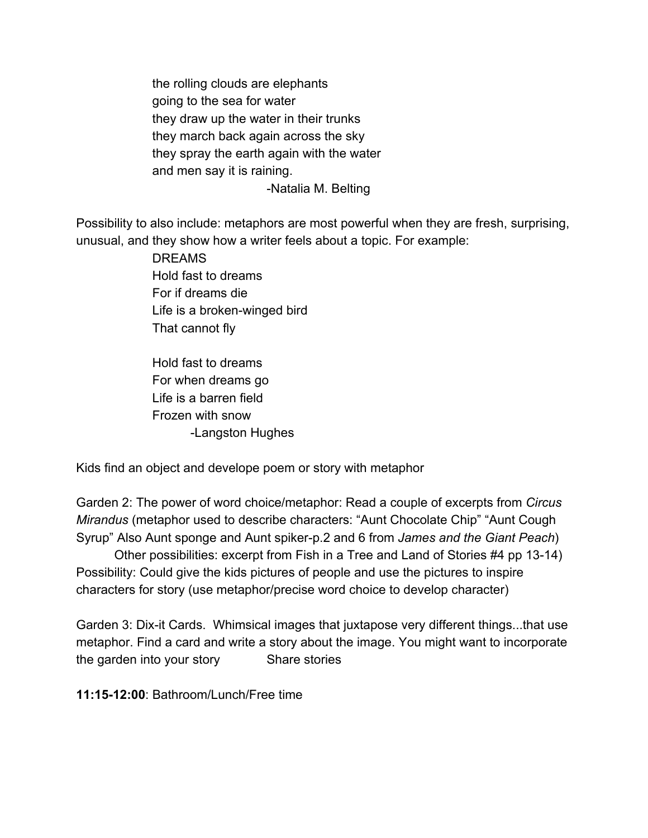the rolling clouds are elephants going to the sea for water they draw up the water in their trunks they march back again across the sky they spray the earth again with the water and men say it is raining. -Natalia M. Belting

Possibility to also include: metaphors are most powerful when they are fresh, surprising, unusual, and they show how a writer feels about a topic. For example:

> DREAMS Hold fast to dreams For if dreams die Life is a broken-winged bird That cannot fly

Hold fast to dreams For when dreams go Life is a barren field Frozen with snow -Langston Hughes

Kids find an object and develope poem or story with metaphor

Garden 2: The power of word choice/metaphor: Read a couple of excerpts from *Circus Mirandus* (metaphor used to describe characters: "Aunt Chocolate Chip" "Aunt Cough Syrup" Also Aunt sponge and Aunt spiker-p.2 and 6 from *James and the Giant Peach*)

Other possibilities: excerpt from Fish in a Tree and Land of Stories #4 pp 13-14) Possibility: Could give the kids pictures of people and use the pictures to inspire characters for story (use metaphor/precise word choice to develop character)

Garden 3: Dix-it Cards. Whimsical images that juxtapose very different things...that use metaphor. Find a card and write a story about the image. You might want to incorporate the garden into your story Share stories

**11:15-12:00**: Bathroom/Lunch/Free time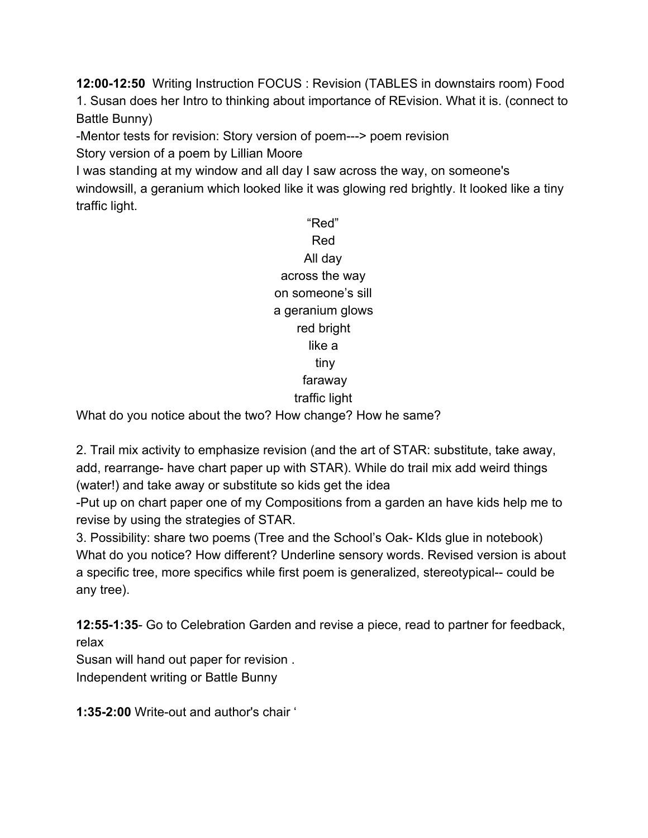**12:00-12:50**  Writing Instruction FOCUS : Revision (TABLES in downstairs room) Food 1. Susan does her Intro to thinking about importance of REvision. What it is. (connect to Battle Bunny)

-Mentor tests for revision: Story version of poem---> poem revision

Story version of a poem by Lillian Moore

I was standing at my window and all day I saw across the way, on someone's windowsill, a geranium which looked like it was glowing red brightly. It looked like a tiny traffic light.

> "Red" Red All day across the way on someone's sill a geranium glows red bright like a tiny faraway traffic light

What do you notice about the two? How change? How he same?

2. Trail mix activity to emphasize revision (and the art of STAR: substitute, take away, add, rearrange- have chart paper up with STAR). While do trail mix add weird things (water!) and take away or substitute so kids get the idea

-Put up on chart paper one of my Compositions from a garden an have kids help me to revise by using the strategies of STAR.

3. Possibility: share two poems (Tree and the School's Oak- KIds glue in notebook) What do you notice? How different? Underline sensory words. Revised version is about a specific tree, more specifics while first poem is generalized, stereotypical-- could be any tree).

**12:55-1:35**- Go to Celebration Garden and revise a piece, read to partner for feedback, relax

Susan will hand out paper for revision . Independent writing or Battle Bunny

**1:35-2:00** Write-out and author's chair '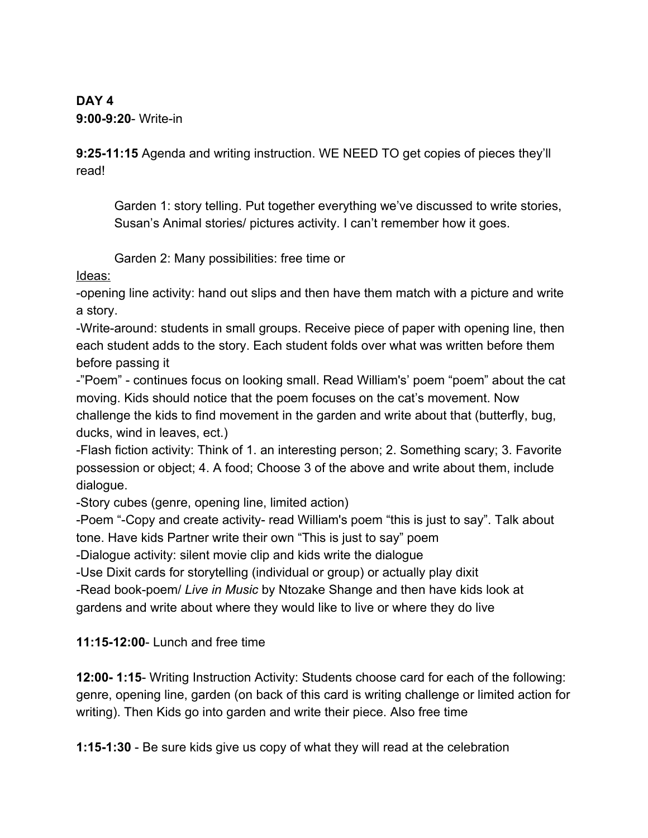**DAY 4 9:00-9:20**- Write-in

**9:25-11:15** Agenda and writing instruction. WE NEED TO get copies of pieces they'll read!

Garden 1: story telling. Put together everything we've discussed to write stories, Susan's Animal stories/ pictures activity. I can't remember how it goes.

Garden 2: Many possibilities: free time or

Ideas:

-opening line activity: hand out slips and then have them match with a picture and write a story.

-Write-around: students in small groups. Receive piece of paper with opening line, then each student adds to the story. Each student folds over what was written before them before passing it

-"Poem" - continues focus on looking small. Read William's' poem "poem" about the cat moving. Kids should notice that the poem focuses on the cat's movement. Now challenge the kids to find movement in the garden and write about that (butterfly, bug, ducks, wind in leaves, ect.)

-Flash fiction activity: Think of 1. an interesting person; 2. Something scary; 3. Favorite possession or object; 4. A food; Choose 3 of the above and write about them, include dialogue.

-Story cubes (genre, opening line, limited action)

-Poem "-Copy and create activity- read William's poem "this is just to say". Talk about tone. Have kids Partner write their own "This is just to say" poem

-Dialogue activity: silent movie clip and kids write the dialogue

-Use Dixit cards for storytelling (individual or group) or actually play dixit

-Read book-poem/ *Live in Music* by Ntozake Shange and then have kids look at gardens and write about where they would like to live or where they do live

**11:15-12:00**- Lunch and free time

**12:00- 1:15**- Writing Instruction Activity: Students choose card for each of the following: genre, opening line, garden (on back of this card is writing challenge or limited action for writing). Then Kids go into garden and write their piece. Also free time

**1:15-1:30** - Be sure kids give us copy of what they will read at the celebration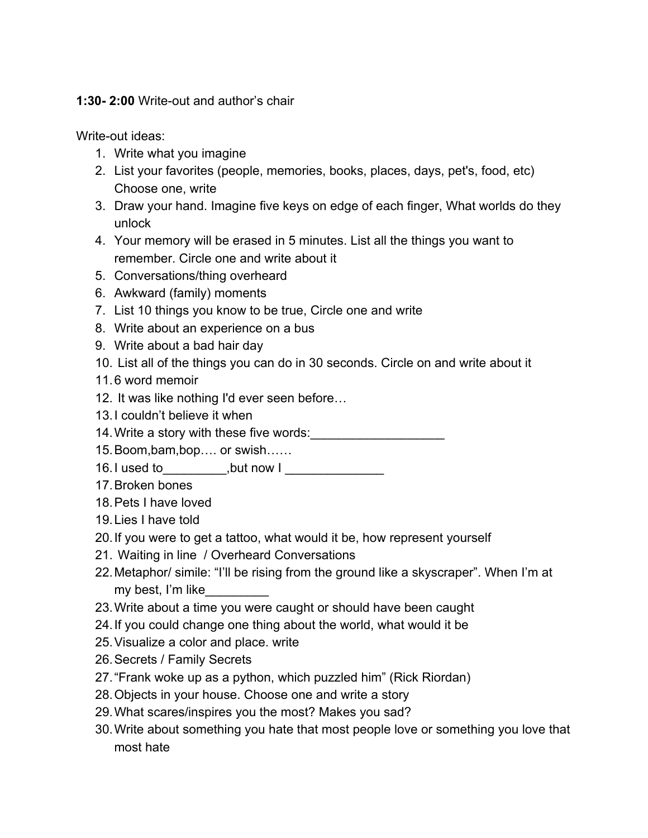### **1:30- 2:00** Write-out and author's chair

Write-out ideas:

- 1. Write what you imagine
- 2. List your favorites (people, memories, books, places, days, pet's, food, etc) Choose one, write
- 3. Draw your hand. Imagine five keys on edge of each finger, What worlds do they unlock
- 4. Your memory will be erased in 5 minutes. List all the things you want to remember. Circle one and write about it
- 5. Conversations/thing overheard
- 6. Awkward (family) moments
- 7. List 10 things you know to be true, Circle one and write
- 8. Write about an experience on a bus
- 9. Write about a bad hair day
- 10. List all of the things you can do in 30 seconds. Circle on and write about it
- 11.6 word memoir
- 12. It was like nothing I'd ever seen before…
- 13.I couldn't believe it when
- 14. Write a story with these five words:
- 15.Boom,bam,bop…. or swish……
- 16.I used to \_\_\_\_\_\_,but now I \_\_\_\_\_\_\_\_\_\_\_\_\_\_\_
- 17.Broken bones
- 18.Pets I have loved
- 19.Lies I have told
- 20.If you were to get a tattoo, what would it be, how represent yourself
- 21. Waiting in line / Overheard Conversations
- 22.Metaphor/ simile: "I'll be rising from the ground like a skyscraper". When I'm at my best, I'm like\_\_\_\_\_\_\_\_\_
- 23.Write about a time you were caught or should have been caught
- 24.If you could change one thing about the world, what would it be
- 25.Visualize a color and place. write
- 26.Secrets / Family Secrets
- 27."Frank woke up as a python, which puzzled him" (Rick Riordan)
- 28.Objects in your house. Choose one and write a story
- 29.What scares/inspires you the most? Makes you sad?
- 30.Write about something you hate that most people love or something you love that most hate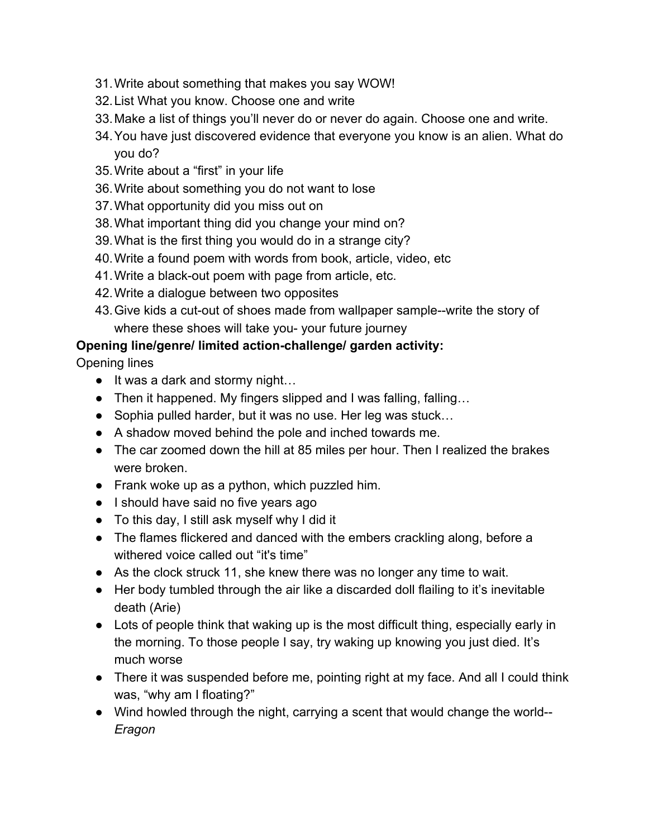- 31.Write about something that makes you say WOW!
- 32.List What you know. Choose one and write
- 33.Make a list of things you'll never do or never do again. Choose one and write.
- 34.You have just discovered evidence that everyone you know is an alien. What do you do?
- 35.Write about a "first" in your life
- 36.Write about something you do not want to lose
- 37.What opportunity did you miss out on
- 38.What important thing did you change your mind on?
- 39.What is the first thing you would do in a strange city?
- 40.Write a found poem with words from book, article, video, etc
- 41.Write a black-out poem with page from article, etc.
- 42.Write a dialogue between two opposites
- 43.Give kids a cut-out of shoes made from wallpaper sample--write the story of where these shoes will take you- your future journey

## **Opening line/genre/ limited action-challenge/ garden activity:**

Opening lines

- It was a dark and stormy night...
- Then it happened. My fingers slipped and I was falling, falling...
- Sophia pulled harder, but it was no use. Her leg was stuck...
- A shadow moved behind the pole and inched towards me.
- The car zoomed down the hill at 85 miles per hour. Then I realized the brakes were broken.
- Frank woke up as a python, which puzzled him.
- I should have said no five years ago
- To this day, I still ask myself why I did it
- The flames flickered and danced with the embers crackling along, before a withered voice called out "it's time"
- As the clock struck 11, she knew there was no longer any time to wait.
- Her body tumbled through the air like a discarded doll flailing to it's inevitable death (Arie)
- Lots of people think that waking up is the most difficult thing, especially early in the morning. To those people I say, try waking up knowing you just died. It's much worse
- There it was suspended before me, pointing right at my face. And all I could think was, "why am I floating?"
- Wind howled through the night, carrying a scent that would change the world-- *Eragon*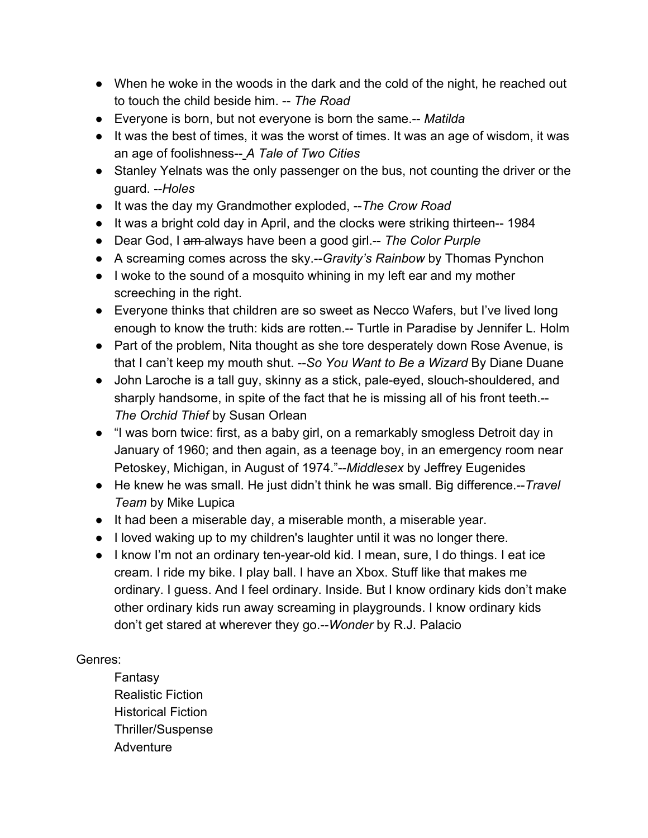- When he woke in the woods in the dark and the cold of the night, he reached out to touch the child beside him. -- *The Road*
- Everyone is born, but not everyone is born the same.-- *Matilda*
- It was the best of times, it was the worst of times. It was an age of wisdom, it was an age of foolishness-- *A Tale of Two Cities*
- Stanley Yelnats was the only passenger on the bus, not counting the driver or the guard. --*Holes*
- It was the day my Grandmother exploded, --*The Crow Road*
- It was a bright cold day in April, and the clocks were striking thirteen-- 1984
- Dear God, I am always have been a good girl.-- *The Color Purple*
- A screaming comes across the sky.--*Gravity's Rainbow* by Thomas Pynchon
- I woke to the sound of a mosquito whining in my left ear and my mother screeching in the right.
- Everyone thinks that children are so sweet as Necco Wafers, but I've lived long enough to know the truth: kids are rotten.-- Turtle in Paradise by Jennifer L. Holm
- Part of the problem, Nita thought as she tore desperately down Rose Avenue, is that I can't keep my mouth shut. --*So You Want to Be a Wizard* By Diane Duane
- John Laroche is a tall guy, skinny as a stick, pale-eyed, slouch-shouldered, and sharply handsome, in spite of the fact that he is missing all of his front teeth.-- *The Orchid Thief* by Susan Orlean
- "I was born twice: first, as a baby girl, on a remarkably smogless Detroit day in January of 1960; and then again, as a teenage boy, in an emergency room near Petoskey, Michigan, in August of 1974."--*Middlesex* by Jeffrey Eugenides
- He knew he was small. He just didn't think he was small. Big difference.--*Travel Team* by Mike Lupica
- It had been a miserable day, a miserable month, a miserable year.
- I loved waking up to my children's laughter until it was no longer there.
- I know I'm not an ordinary ten-year-old kid. I mean, sure, I do things. I eat ice cream. I ride my bike. I play ball. I have an Xbox. Stuff like that makes me ordinary. I guess. And I feel ordinary. Inside. But I know ordinary kids don't make other ordinary kids run away screaming in playgrounds. I know ordinary kids don't get stared at wherever they go.--*Wonder* by R.J. Palacio

## Genres:

Fantasy Realistic Fiction Historical Fiction Thriller/Suspense **Adventure**